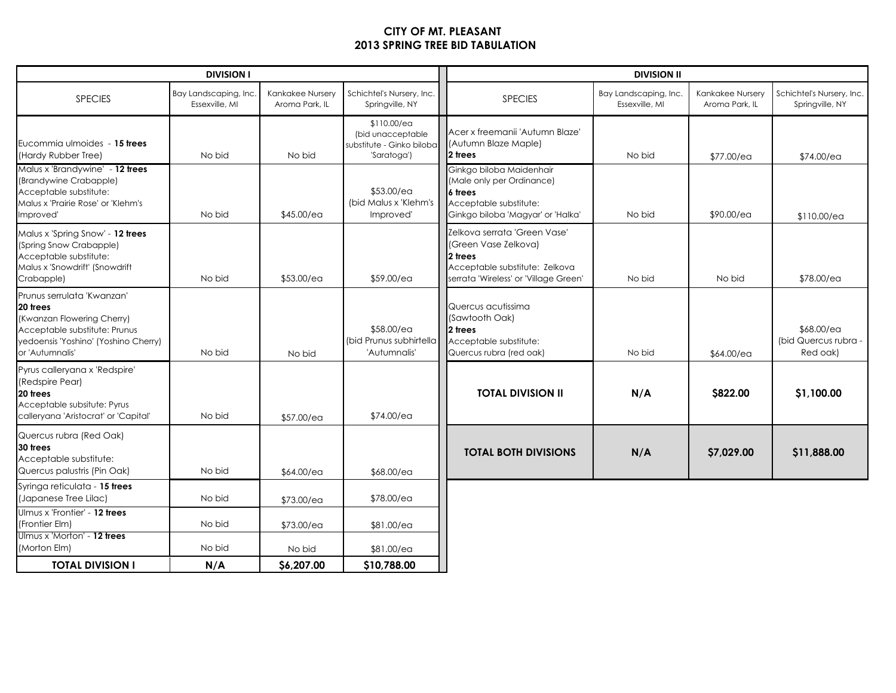## CITY OF MT. PLEASANT2013 SPRING TREE BID TABULATION

| <b>DIVISION I</b>                                                                                                                                                |                                         |                                    | <b>DIVISION II</b>                                                           |                                                                                                                                             |                                         |                                    |                                                |
|------------------------------------------------------------------------------------------------------------------------------------------------------------------|-----------------------------------------|------------------------------------|------------------------------------------------------------------------------|---------------------------------------------------------------------------------------------------------------------------------------------|-----------------------------------------|------------------------------------|------------------------------------------------|
| <b>SPECIES</b>                                                                                                                                                   | Bay Landscaping, Inc.<br>Essexville, MI | Kankakee Nursery<br>Aroma Park, IL | Schichtel's Nursery, Inc.<br>Springville, NY                                 | <b>SPECIES</b>                                                                                                                              | Bay Landscaping, Inc.<br>Essexville, MI | Kankakee Nursery<br>Aroma Park, IL | Schichtel's Nursery, Inc.<br>Springville, NY   |
| Eucommia ulmoides - 15 trees<br>(Hardy Rubber Tree)                                                                                                              | No bid                                  | No bid                             | \$110.00/ea<br>(bid unacceptable<br>substitute - Ginko biloba<br>'Saratoga') | Acer x freemanii 'Autumn Blaze'<br>(Autumn Blaze Maple)<br>2 trees                                                                          | No bid                                  | \$77.00/ea                         | \$74.00/ea                                     |
| Malus x 'Brandywine' - 12 trees<br>(Brandywine Crabapple)<br>Acceptable substitute:<br>Malus x 'Prairie Rose' or 'Klehm's<br>Improved'                           | No bid                                  | \$45.00/ea                         | \$53.00/ea<br>(bid Malus x 'Klehm's<br>Improved'                             | Ginkgo biloba Maidenhair<br>(Male only per Ordinance)<br>l6 trees<br>Acceptable substitute:<br>Ginkgo biloba 'Magyar' or 'Halka'            | No bid                                  | \$90.00/ea                         | \$110.00/ea                                    |
| Malus x 'Spring Snow' - 12 trees<br>(Spring Snow Crabapple)<br>Acceptable substitute:<br>Malus x 'Snowdrift' (Snowdrift<br>Crabapple)                            | No bid                                  | \$53.00/ea                         | \$59.00/ea                                                                   | Zelkova serrata 'Green Vase'<br>(Green Vase Zelkova)<br>12 trees<br>Acceptable substitute: Zelkova<br>serrata 'Wireless' or 'Village Green' | No bid                                  | No bid                             | \$78.00/ea                                     |
| Prunus serrulata 'Kwanzan'<br>20 trees<br>(Kwanzan Flowering Cherry)<br>Acceptable substitute: Prunus<br>yedoensis 'Yoshino' (Yoshino Cherry)<br>or 'Autumnalis' | No bid                                  | No bid                             | \$58.00/ea<br>(bid Prunus subhirtella<br>'Autumnalis'                        | Quercus acutissima<br>(Sawtooth Oak)<br>12 trees<br>Acceptable substitute:<br>Quercus rubra (red oak)                                       | No bid                                  | \$64.00/ea                         | \$68.00/ea<br>(bid Quercus rubra -<br>Red oak) |
| Pyrus calleryana x 'Redspire'<br>(Redspire Pear)<br>20 trees<br>Acceptable subsitute: Pyrus<br>calleryana 'Aristocrat' or 'Capital'                              | No bid                                  | \$57.00/ea                         | \$74.00/ea                                                                   | <b>TOTAL DIVISION II</b>                                                                                                                    | N/A                                     | \$822.00                           | \$1,100.00                                     |
| Quercus rubra (Red Oak)<br>30 trees<br>Acceptable substitute:<br>Quercus palustris (Pin Oak)                                                                     | No bid                                  | \$64.00/ea                         | \$68.00/ea                                                                   | <b>TOTAL BOTH DIVISIONS</b>                                                                                                                 | N/A                                     | \$7,029.00                         | \$11,888.00                                    |
| Syringa reticulata - 15 trees<br>(Japanese Tree Lilac)                                                                                                           | No bid                                  | \$73.00/ea                         | \$78.00/ea                                                                   |                                                                                                                                             |                                         |                                    |                                                |
| Ulmus x 'Frontier' - 12 trees<br>(Frontier Elm)                                                                                                                  | No bid                                  | \$73.00/ea                         | \$81.00/ea                                                                   |                                                                                                                                             |                                         |                                    |                                                |
| Ulmus x 'Morton' - 12 trees<br>(Morton Elm)                                                                                                                      | No bid                                  | No bid                             | \$81.00/ea                                                                   |                                                                                                                                             |                                         |                                    |                                                |
| <b>TOTAL DIVISION I</b>                                                                                                                                          | N/A                                     | \$6,207.00                         | \$10,788.00                                                                  |                                                                                                                                             |                                         |                                    |                                                |